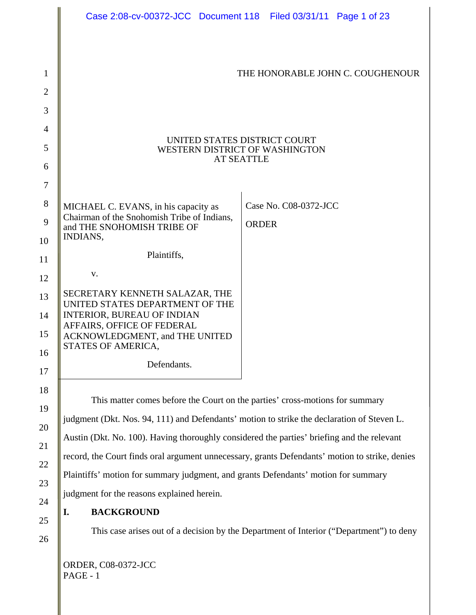|                                              | Case 2:08-cv-00372-JCC Document 118 Filed 03/31/11 Page 1 of 23                                                                                                                                                                                                                                                                                                                                                                                                                                                                                                                                                                      |              |                       |  |
|----------------------------------------------|--------------------------------------------------------------------------------------------------------------------------------------------------------------------------------------------------------------------------------------------------------------------------------------------------------------------------------------------------------------------------------------------------------------------------------------------------------------------------------------------------------------------------------------------------------------------------------------------------------------------------------------|--------------|-----------------------|--|
| $\overline{2}$<br>3                          | THE HONORABLE JOHN C. COUGHENOUR                                                                                                                                                                                                                                                                                                                                                                                                                                                                                                                                                                                                     |              |                       |  |
| $\overline{4}$<br>5<br>6                     | UNITED STATES DISTRICT COURT<br>WESTERN DISTRICT OF WASHINGTON<br><b>AT SEATTLE</b>                                                                                                                                                                                                                                                                                                                                                                                                                                                                                                                                                  |              |                       |  |
| 7<br>$8\phantom{1}$<br>9<br>10               | MICHAEL C. EVANS, in his capacity as<br>Chairman of the Snohomish Tribe of Indians,<br>and THE SNOHOMISH TRIBE OF<br><b>INDIANS,</b>                                                                                                                                                                                                                                                                                                                                                                                                                                                                                                 | <b>ORDER</b> | Case No. C08-0372-JCC |  |
| 12                                           | Plaintiffs,<br>V.                                                                                                                                                                                                                                                                                                                                                                                                                                                                                                                                                                                                                    |              |                       |  |
| 13<br>14<br>15<br>16                         | SECRETARY KENNETH SALAZAR, THE<br>UNITED STATES DEPARTMENT OF THE<br><b>INTERIOR, BUREAU OF INDIAN</b><br>AFFAIRS, OFFICE OF FEDERAL<br>ACKNOWLEDGMENT, and THE UNITED<br>STATES OF AMERICA,                                                                                                                                                                                                                                                                                                                                                                                                                                         |              |                       |  |
| 17                                           | Defendants.                                                                                                                                                                                                                                                                                                                                                                                                                                                                                                                                                                                                                          |              |                       |  |
| 18<br>19<br>20<br>22<br>23<br>24<br>25<br>26 | This matter comes before the Court on the parties' cross-motions for summary<br>judgment (Dkt. Nos. 94, 111) and Defendants' motion to strike the declaration of Steven L.<br>Austin (Dkt. No. 100). Having thoroughly considered the parties' briefing and the relevant<br>record, the Court finds oral argument unnecessary, grants Defendants' motion to strike, denies<br>Plaintiffs' motion for summary judgment, and grants Defendants' motion for summary<br>judgment for the reasons explained herein.<br><b>BACKGROUND</b><br>I.<br>This case arises out of a decision by the Department of Interior ("Department") to deny |              |                       |  |
|                                              | ORDER, C08-0372-JCC                                                                                                                                                                                                                                                                                                                                                                                                                                                                                                                                                                                                                  |              |                       |  |

 $PAGE - 1$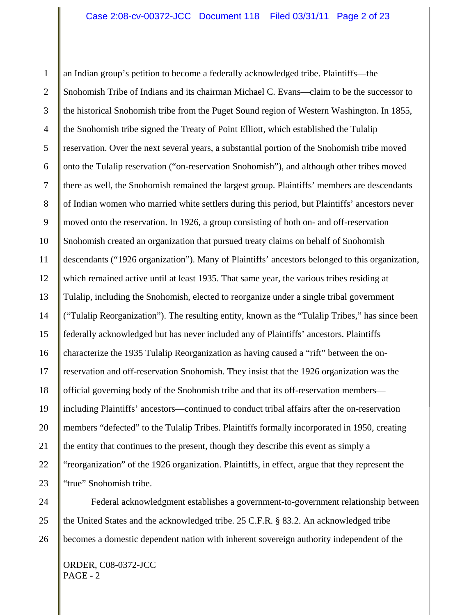1 2 3 4 5 6 7 8 9 10 11 12 13 14 15 16 17 18 19 20 21 22 23 an Indian group's petition to become a federally acknowledged tribe. Plaintiffs—the Snohomish Tribe of Indians and its chairman Michael C. Evans—claim to be the successor to the historical Snohomish tribe from the Puget Sound region of Western Washington. In 1855, the Snohomish tribe signed the Treaty of Point Elliott, which established the Tulalip reservation. Over the next several years, a substantial portion of the Snohomish tribe moved onto the Tulalip reservation ("on-reservation Snohomish"), and although other tribes moved there as well, the Snohomish remained the largest group. Plaintiffs' members are descendants of Indian women who married white settlers during this period, but Plaintiffs' ancestors never moved onto the reservation. In 1926, a group consisting of both on- and off-reservation Snohomish created an organization that pursued treaty claims on behalf of Snohomish descendants ("1926 organization"). Many of Plaintiffs' ancestors belonged to this organization, which remained active until at least 1935. That same year, the various tribes residing at Tulalip, including the Snohomish, elected to reorganize under a single tribal government ("Tulalip Reorganization"). The resulting entity, known as the "Tulalip Tribes," has since been federally acknowledged but has never included any of Plaintiffs' ancestors. Plaintiffs characterize the 1935 Tulalip Reorganization as having caused a "rift" between the onreservation and off-reservation Snohomish. They insist that the 1926 organization was the official governing body of the Snohomish tribe and that its off-reservation members including Plaintiffs' ancestors—continued to conduct tribal affairs after the on-reservation members "defected" to the Tulalip Tribes. Plaintiffs formally incorporated in 1950, creating the entity that continues to the present, though they describe this event as simply a "reorganization" of the 1926 organization. Plaintiffs, in effect, argue that they represent the "true" Snohomish tribe.

24 25 26 Federal acknowledgment establishes a government-to-government relationship between the United States and the acknowledged tribe. 25 C.F.R. § 83.2. An acknowledged tribe becomes a domestic dependent nation with inherent sovereign authority independent of the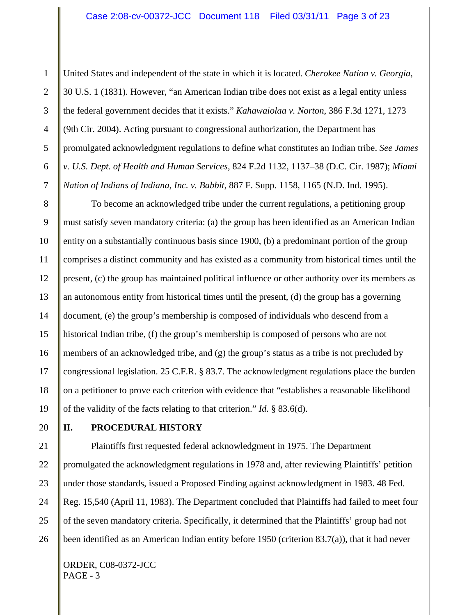United States and independent of the state in which it is located. *Cherokee Nation v. Georgia*, 30 U.S. 1 (1831). However, "an American Indian tribe does not exist as a legal entity unless the federal government decides that it exists." *Kahawaiolaa v. Norton*, 386 F.3d 1271, 1273 (9th Cir. 2004). Acting pursuant to congressional authorization, the Department has promulgated acknowledgment regulations to define what constitutes an Indian tribe. *See James v. U.S. Dept. of Health and Human Services*, 824 F.2d 1132, 1137–38 (D.C. Cir. 1987); *Miami Nation of Indians of Indiana, Inc. v. Babbit*, 887 F. Supp. 1158, 1165 (N.D. Ind. 1995).

8 9 10 11 12 13 14 15 16 17 18 19 To become an acknowledged tribe under the current regulations, a petitioning group must satisfy seven mandatory criteria: (a) the group has been identified as an American Indian entity on a substantially continuous basis since 1900, (b) a predominant portion of the group comprises a distinct community and has existed as a community from historical times until the present, (c) the group has maintained political influence or other authority over its members as an autonomous entity from historical times until the present, (d) the group has a governing document, (e) the group's membership is composed of individuals who descend from a historical Indian tribe, (f) the group's membership is composed of persons who are not members of an acknowledged tribe, and (g) the group's status as a tribe is not precluded by congressional legislation. 25 C.F.R. § 83.7. The acknowledgment regulations place the burden on a petitioner to prove each criterion with evidence that "establishes a reasonable likelihood of the validity of the facts relating to that criterion." *Id.* § 83.6(d).

20

21

1

2

3

4

5

6

7

### **II. PROCEDURAL HISTORY**

22 23 24 25 26 Plaintiffs first requested federal acknowledgment in 1975. The Department promulgated the acknowledgment regulations in 1978 and, after reviewing Plaintiffs' petition under those standards, issued a Proposed Finding against acknowledgment in 1983. 48 Fed. Reg. 15,540 (April 11, 1983). The Department concluded that Plaintiffs had failed to meet four of the seven mandatory criteria. Specifically, it determined that the Plaintiffs' group had not been identified as an American Indian entity before 1950 (criterion 83.7(a)), that it had never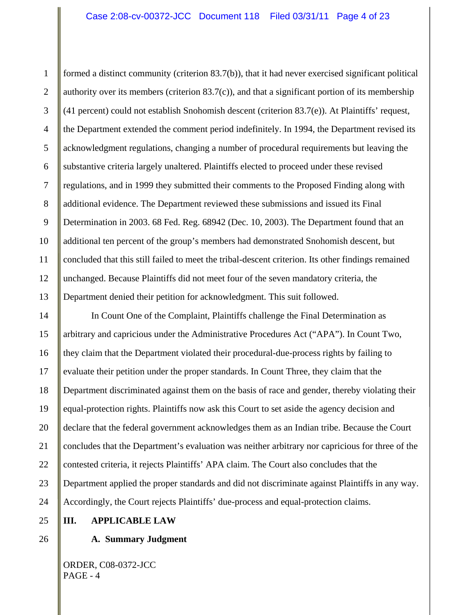1 2 3 4 5 6 7 8 9 10 11 12 13 formed a distinct community (criterion 83.7(b)), that it had never exercised significant political authority over its members (criterion  $83.7(c)$ ), and that a significant portion of its membership (41 percent) could not establish Snohomish descent (criterion 83.7(e)). At Plaintiffs' request, the Department extended the comment period indefinitely. In 1994, the Department revised its acknowledgment regulations, changing a number of procedural requirements but leaving the substantive criteria largely unaltered. Plaintiffs elected to proceed under these revised regulations, and in 1999 they submitted their comments to the Proposed Finding along with additional evidence. The Department reviewed these submissions and issued its Final Determination in 2003. 68 Fed. Reg. 68942 (Dec. 10, 2003). The Department found that an additional ten percent of the group's members had demonstrated Snohomish descent, but concluded that this still failed to meet the tribal-descent criterion. Its other findings remained unchanged. Because Plaintiffs did not meet four of the seven mandatory criteria, the Department denied their petition for acknowledgment. This suit followed.

14 15 16 17 18 19 20 21 22 23 24 In Count One of the Complaint, Plaintiffs challenge the Final Determination as arbitrary and capricious under the Administrative Procedures Act ("APA"). In Count Two, they claim that the Department violated their procedural-due-process rights by failing to evaluate their petition under the proper standards. In Count Three, they claim that the Department discriminated against them on the basis of race and gender, thereby violating their equal-protection rights. Plaintiffs now ask this Court to set aside the agency decision and declare that the federal government acknowledges them as an Indian tribe. Because the Court concludes that the Department's evaluation was neither arbitrary nor capricious for three of the contested criteria, it rejects Plaintiffs' APA claim. The Court also concludes that the Department applied the proper standards and did not discriminate against Plaintiffs in any way. Accordingly, the Court rejects Plaintiffs' due-process and equal-protection claims.

- **III. APPLICABLE LAW**
- 26

25

# **A. Summary Judgment**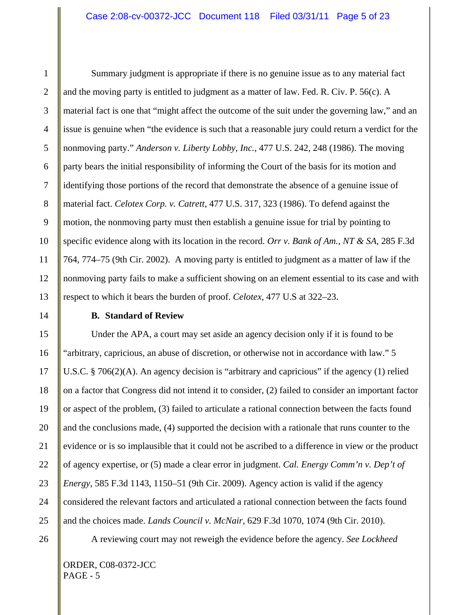1 2 3 4 5 6 7 8 12 13 Summary judgment is appropriate if there is no genuine issue as to any material fact and the moving party is entitled to judgment as a matter of law. Fed. R. Civ. P. 56(c). A material fact is one that "might affect the outcome of the suit under the governing law," and an issue is genuine when "the evidence is such that a reasonable jury could return a verdict for the nonmoving party." *Anderson v. Liberty Lobby, Inc.*, 477 U.S. 242, 248 (1986). The moving party bears the initial responsibility of informing the Court of the basis for its motion and identifying those portions of the record that demonstrate the absence of a genuine issue of material fact. *Celotex Corp. v. Catrett*, 477 U.S. 317, 323 (1986). To defend against the motion, the nonmoving party must then establish a genuine issue for trial by pointing to specific evidence along with its location in the record. *Orr v. Bank of Am., NT & SA*, 285 F.3d 764, 774–75 (9th Cir. 2002). A moving party is entitled to judgment as a matter of law if the nonmoving party fails to make a sufficient showing on an element essential to its case and with respect to which it bears the burden of proof. *Celotex*, 477 U.S at 322–23.

#### **B. Standard of Review**

Under the APA, a court may set aside an agency decision only if it is found to be "arbitrary, capricious, an abuse of discretion, or otherwise not in accordance with law." 5 U.S.C. § 706(2)(A). An agency decision is "arbitrary and capricious" if the agency (1) relied on a factor that Congress did not intend it to consider, (2) failed to consider an important factor or aspect of the problem, (3) failed to articulate a rational connection between the facts found and the conclusions made, (4) supported the decision with a rationale that runs counter to the evidence or is so implausible that it could not be ascribed to a difference in view or the product of agency expertise, or (5) made a clear error in judgment. *Cal. Energy Comm'n v. Dep't of Energy*, 585 F.3d 1143, 1150–51 (9th Cir. 2009). Agency action is valid if the agency considered the relevant factors and articulated a rational connection between the facts found and the choices made. *Lands Council v. McNair*, 629 F.3d 1070, 1074 (9th Cir. 2010).

A reviewing court may not reweigh the evidence before the agency. *See Lockheed* 

### ORDER, C08-0372-JCC PAGE - 5

14

15

16

17

18

19

20

21

22

23

24

25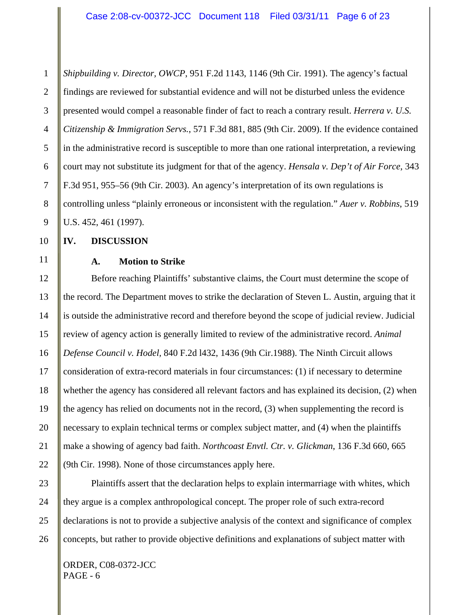1 2 3 4 5 6 7 8 *Shipbuilding v. Director, OWCP*, 951 F.2d 1143, 1146 (9th Cir. 1991). The agency's factual findings are reviewed for substantial evidence and will not be disturbed unless the evidence presented would compel a reasonable finder of fact to reach a contrary result. *Herrera v. U.S. Citizenship & Immigration Servs.*, 571 F.3d 881, 885 (9th Cir. 2009). If the evidence contained in the administrative record is susceptible to more than one rational interpretation, a reviewing court may not substitute its judgment for that of the agency. *Hensala v. Dep't of Air Force*, 343 F.3d 951, 955–56 (9th Cir. 2003). An agency's interpretation of its own regulations is controlling unless "plainly erroneous or inconsistent with the regulation." *Auer v. Robbins*, 519 U.S. 452, 461 (1997).

10

# **IV. DISCUSSION**

## **A. Motion to Strike**

Before reaching Plaintiffs' substantive claims, the Court must determine the scope of the record. The Department moves to strike the declaration of Steven L. Austin, arguing that it is outside the administrative record and therefore beyond the scope of judicial review. Judicial review of agency action is generally limited to review of the administrative record. *Animal Defense Council v. Hodel,* 840 F.2d l432, 1436 (9th Cir.1988). The Ninth Circuit allows consideration of extra-record materials in four circumstances: (1) if necessary to determine whether the agency has considered all relevant factors and has explained its decision, (2) when the agency has relied on documents not in the record, (3) when supplementing the record is necessary to explain technical terms or complex subject matter, and (4) when the plaintiffs make a showing of agency bad faith. *Northcoast Envtl. Ctr. v. Glickman*, 136 F.3d 660, 665 (9th Cir. 1998). None of those circumstances apply here.

24 25 26 Plaintiffs assert that the declaration helps to explain intermarriage with whites, which they argue is a complex anthropological concept. The proper role of such extra-record declarations is not to provide a subjective analysis of the context and significance of complex concepts, but rather to provide objective definitions and explanations of subject matter with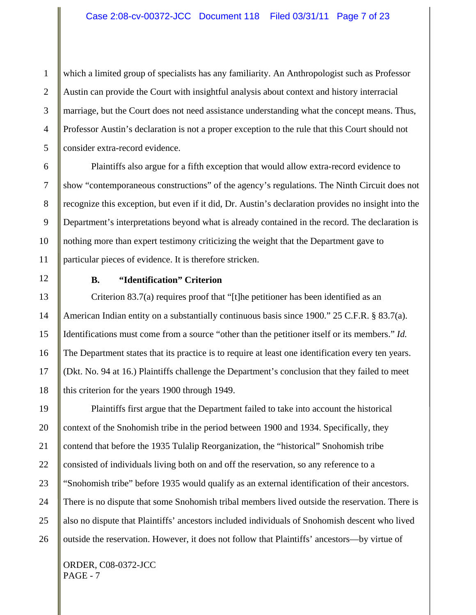1 2 3 4 5 which a limited group of specialists has any familiarity. An Anthropologist such as Professor Austin can provide the Court with insightful analysis about context and history interracial marriage, but the Court does not need assistance understanding what the concept means. Thus, Professor Austin's declaration is not a proper exception to the rule that this Court should not consider extra-record evidence.

Plaintiffs also argue for a fifth exception that would allow extra-record evidence to show "contemporaneous constructions" of the agency's regulations. The Ninth Circuit does not recognize this exception, but even if it did, Dr. Austin's declaration provides no insight into the Department's interpretations beyond what is already contained in the record. The declaration is nothing more than expert testimony criticizing the weight that the Department gave to particular pieces of evidence. It is therefore stricken.

12

13

14

15

16

17

18

6

7

8

9

10

11

### **B. "Identification" Criterion**

Criterion 83.7(a) requires proof that "[t]he petitioner has been identified as an American Indian entity on a substantially continuous basis since 1900." 25 C.F.R. § 83.7(a). Identifications must come from a source "other than the petitioner itself or its members." *Id.* The Department states that its practice is to require at least one identification every ten years. (Dkt. No. 94 at 16.) Plaintiffs challenge the Department's conclusion that they failed to meet this criterion for the years 1900 through 1949.

19 20 21 22 23 24 25 26 Plaintiffs first argue that the Department failed to take into account the historical context of the Snohomish tribe in the period between 1900 and 1934. Specifically, they contend that before the 1935 Tulalip Reorganization, the "historical" Snohomish tribe consisted of individuals living both on and off the reservation, so any reference to a "Snohomish tribe" before 1935 would qualify as an external identification of their ancestors. There is no dispute that some Snohomish tribal members lived outside the reservation. There is also no dispute that Plaintiffs' ancestors included individuals of Snohomish descent who lived outside the reservation. However, it does not follow that Plaintiffs' ancestors—by virtue of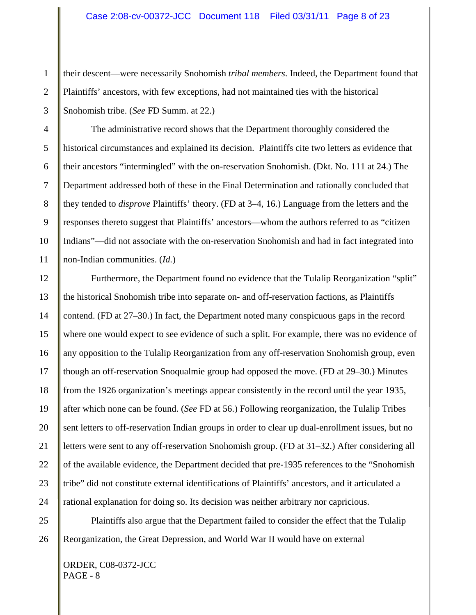their descent—were necessarily Snohomish *tribal members*. Indeed, the Department found that Plaintiffs' ancestors, with few exceptions, had not maintained ties with the historical Snohomish tribe. (*See* FD Summ. at 22.)

The administrative record shows that the Department thoroughly considered the historical circumstances and explained its decision. Plaintiffs cite two letters as evidence that their ancestors "intermingled" with the on-reservation Snohomish. (Dkt. No. 111 at 24.) The Department addressed both of these in the Final Determination and rationally concluded that they tended to *disprove* Plaintiffs' theory. (FD at 3–4, 16.) Language from the letters and the responses thereto suggest that Plaintiffs' ancestors—whom the authors referred to as "citizen Indians"—did not associate with the on-reservation Snohomish and had in fact integrated into non-Indian communities. (*Id.*)

12 13 14 15 16 17 18 19 20 21 22 23 24 Furthermore, the Department found no evidence that the Tulalip Reorganization "split" the historical Snohomish tribe into separate on- and off-reservation factions, as Plaintiffs contend. (FD at 27–30.) In fact, the Department noted many conspicuous gaps in the record where one would expect to see evidence of such a split. For example, there was no evidence of any opposition to the Tulalip Reorganization from any off-reservation Snohomish group, even though an off-reservation Snoqualmie group had opposed the move. (FD at 29–30.) Minutes from the 1926 organization's meetings appear consistently in the record until the year 1935, after which none can be found. (*See* FD at 56.) Following reorganization, the Tulalip Tribes sent letters to off-reservation Indian groups in order to clear up dual-enrollment issues, but no letters were sent to any off-reservation Snohomish group. (FD at 31–32.) After considering all of the available evidence, the Department decided that pre-1935 references to the "Snohomish tribe" did not constitute external identifications of Plaintiffs' ancestors, and it articulated a rational explanation for doing so. Its decision was neither arbitrary nor capricious.

25 26 Plaintiffs also argue that the Department failed to consider the effect that the Tulalip Reorganization, the Great Depression, and World War II would have on external

ORDER, C08-0372-JCC PAGE - 8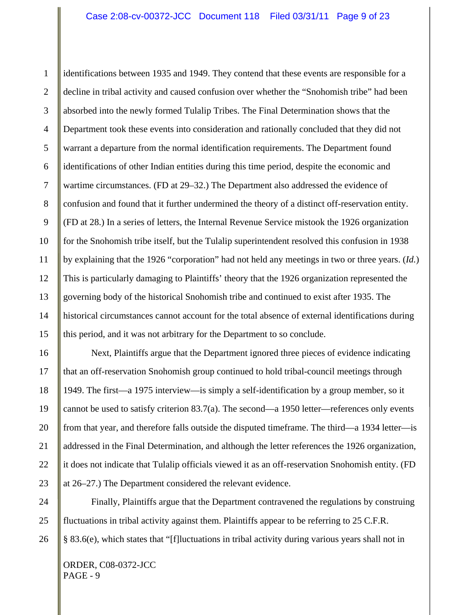1 2 3 4 5 6 7 8 9 10 11 identifications between 1935 and 1949. They contend that these events are responsible for a decline in tribal activity and caused confusion over whether the "Snohomish tribe" had been absorbed into the newly formed Tulalip Tribes. The Final Determination shows that the Department took these events into consideration and rationally concluded that they did not warrant a departure from the normal identification requirements. The Department found identifications of other Indian entities during this time period, despite the economic and wartime circumstances. (FD at 29–32.) The Department also addressed the evidence of confusion and found that it further undermined the theory of a distinct off-reservation entity. (FD at 28.) In a series of letters, the Internal Revenue Service mistook the 1926 organization for the Snohomish tribe itself, but the Tulalip superintendent resolved this confusion in 1938 by explaining that the 1926 "corporation" had not held any meetings in two or three years. (*Id.*) This is particularly damaging to Plaintiffs' theory that the 1926 organization represented the governing body of the historical Snohomish tribe and continued to exist after 1935. The historical circumstances cannot account for the total absence of external identifications during this period, and it was not arbitrary for the Department to so conclude.

Next, Plaintiffs argue that the Department ignored three pieces of evidence indicating that an off-reservation Snohomish group continued to hold tribal-council meetings through 1949. The first—a 1975 interview—is simply a self-identification by a group member, so it cannot be used to satisfy criterion 83.7(a). The second—a 1950 letter—references only events from that year, and therefore falls outside the disputed timeframe. The third—a 1934 letter—is addressed in the Final Determination, and although the letter references the 1926 organization, it does not indicate that Tulalip officials viewed it as an off-reservation Snohomish entity. (FD at 26–27.) The Department considered the relevant evidence.

26 Finally, Plaintiffs argue that the Department contravened the regulations by construing fluctuations in tribal activity against them. Plaintiffs appear to be referring to 25 C.F.R. § 83.6(e), which states that "[f]luctuations in tribal activity during various years shall not in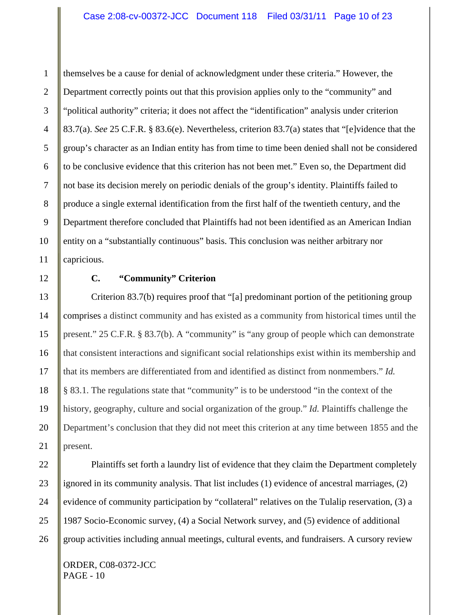1 2 3 4 5 6 7 8 9 10 11 themselves be a cause for denial of acknowledgment under these criteria." However, the Department correctly points out that this provision applies only to the "community" and "political authority" criteria; it does not affect the "identification" analysis under criterion 83.7(a). *See* 25 C.F.R. § 83.6(e). Nevertheless, criterion 83.7(a) states that "[e]vidence that the group's character as an Indian entity has from time to time been denied shall not be considered to be conclusive evidence that this criterion has not been met." Even so, the Department did not base its decision merely on periodic denials of the group's identity. Plaintiffs failed to produce a single external identification from the first half of the twentieth century, and the Department therefore concluded that Plaintiffs had not been identified as an American Indian entity on a "substantially continuous" basis. This conclusion was neither arbitrary nor capricious.

12 13

## **C. "Community" Criterion**

14 15 16 17 18 19 20 Criterion 83.7(b) requires proof that "[a] predominant portion of the petitioning group comprises a distinct community and has existed as a community from historical times until the present." 25 C.F.R. § 83.7(b). A "community" is "any group of people which can demonstrate that consistent interactions and significant social relationships exist within its membership and that its members are differentiated from and identified as distinct from nonmembers." *Id.*  § 83.1. The regulations state that "community" is to be understood "in the context of the history, geography, culture and social organization of the group." *Id.* Plaintiffs challenge the Department's conclusion that they did not meet this criterion at any time between 1855 and the present.

25

26

Plaintiffs set forth a laundry list of evidence that they claim the Department completely ignored in its community analysis. That list includes (1) evidence of ancestral marriages, (2) evidence of community participation by "collateral" relatives on the Tulalip reservation, (3) a 1987 Socio-Economic survey, (4) a Social Network survey, and (5) evidence of additional group activities including annual meetings, cultural events, and fundraisers. A cursory review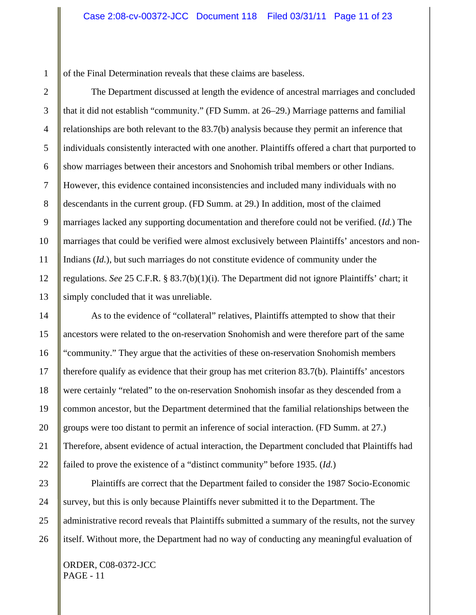of the Final Determination reveals that these claims are baseless.

11 12 13 The Department discussed at length the evidence of ancestral marriages and concluded that it did not establish "community." (FD Summ. at 26–29.) Marriage patterns and familial relationships are both relevant to the 83.7(b) analysis because they permit an inference that individuals consistently interacted with one another. Plaintiffs offered a chart that purported to show marriages between their ancestors and Snohomish tribal members or other Indians. However, this evidence contained inconsistencies and included many individuals with no descendants in the current group. (FD Summ. at 29.) In addition, most of the claimed marriages lacked any supporting documentation and therefore could not be verified. (*Id.*) The marriages that could be verified were almost exclusively between Plaintiffs' ancestors and non-Indians (*Id.*), but such marriages do not constitute evidence of community under the regulations. *See* 25 C.F.R. § 83.7(b)(1)(i). The Department did not ignore Plaintiffs' chart; it simply concluded that it was unreliable.

14 15 16 17 18 19 20 21 22 As to the evidence of "collateral" relatives, Plaintiffs attempted to show that their ancestors were related to the on-reservation Snohomish and were therefore part of the same "community." They argue that the activities of these on-reservation Snohomish members therefore qualify as evidence that their group has met criterion 83.7(b). Plaintiffs' ancestors were certainly "related" to the on-reservation Snohomish insofar as they descended from a common ancestor, but the Department determined that the familial relationships between the groups were too distant to permit an inference of social interaction. (FD Summ. at 27.) Therefore, absent evidence of actual interaction, the Department concluded that Plaintiffs had failed to prove the existence of a "distinct community" before 1935. (*Id.*)

23 24 25 26 Plaintiffs are correct that the Department failed to consider the 1987 Socio-Economic survey, but this is only because Plaintiffs never submitted it to the Department. The administrative record reveals that Plaintiffs submitted a summary of the results, not the survey itself. Without more, the Department had no way of conducting any meaningful evaluation of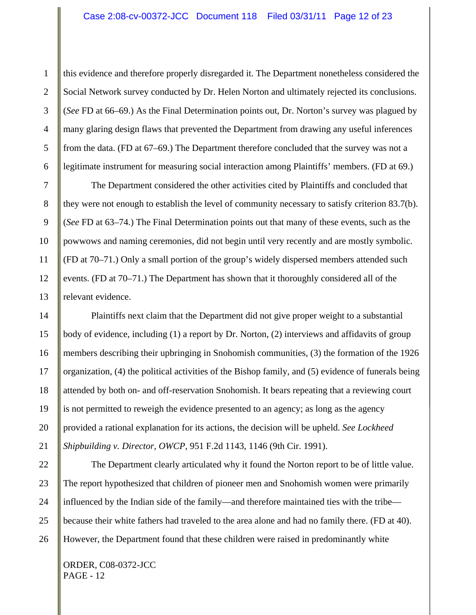this evidence and therefore properly disregarded it. The Department nonetheless considered the Social Network survey conducted by Dr. Helen Norton and ultimately rejected its conclusions. (*See* FD at 66–69.) As the Final Determination points out, Dr. Norton's survey was plagued by many glaring design flaws that prevented the Department from drawing any useful inferences from the data. (FD at 67–69.) The Department therefore concluded that the survey was not a legitimate instrument for measuring social interaction among Plaintiffs' members. (FD at 69.)

The Department considered the other activities cited by Plaintiffs and concluded that they were not enough to establish the level of community necessary to satisfy criterion 83.7(b). (*See* FD at 63–74.) The Final Determination points out that many of these events, such as the powwows and naming ceremonies, did not begin until very recently and are mostly symbolic. (FD at 70–71.) Only a small portion of the group's widely dispersed members attended such events. (FD at 70–71.) The Department has shown that it thoroughly considered all of the relevant evidence.

Plaintiffs next claim that the Department did not give proper weight to a substantial body of evidence, including (1) a report by Dr. Norton, (2) interviews and affidavits of group members describing their upbringing in Snohomish communities, (3) the formation of the 1926 organization, (4) the political activities of the Bishop family, and (5) evidence of funerals being attended by both on- and off-reservation Snohomish. It bears repeating that a reviewing court is not permitted to reweigh the evidence presented to an agency; as long as the agency provided a rational explanation for its actions, the decision will be upheld. *See Lockheed Shipbuilding v. Director, OWCP*, 951 F.2d 1143, 1146 (9th Cir. 1991).

The Department clearly articulated why it found the Norton report to be of little value. The report hypothesized that children of pioneer men and Snohomish women were primarily influenced by the Indian side of the family—and therefore maintained ties with the tribe because their white fathers had traveled to the area alone and had no family there. (FD at 40). However, the Department found that these children were raised in predominantly white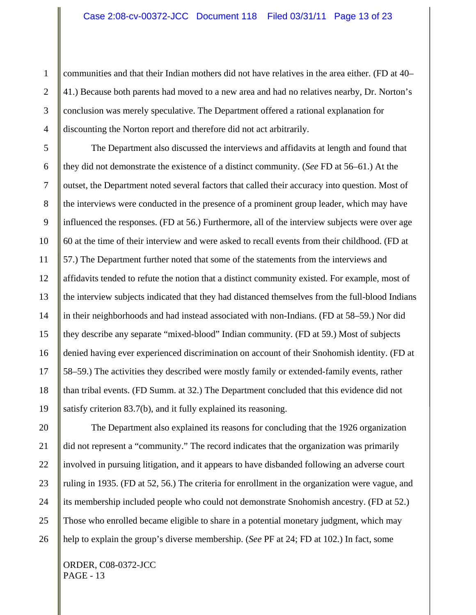communities and that their Indian mothers did not have relatives in the area either. (FD at 40– 41.) Because both parents had moved to a new area and had no relatives nearby, Dr. Norton's conclusion was merely speculative. The Department offered a rational explanation for discounting the Norton report and therefore did not act arbitrarily.

14 15 16 17 18 19 The Department also discussed the interviews and affidavits at length and found that they did not demonstrate the existence of a distinct community. (*See* FD at 56–61.) At the outset, the Department noted several factors that called their accuracy into question. Most of the interviews were conducted in the presence of a prominent group leader, which may have influenced the responses. (FD at 56.) Furthermore, all of the interview subjects were over age 60 at the time of their interview and were asked to recall events from their childhood. (FD at 57.) The Department further noted that some of the statements from the interviews and affidavits tended to refute the notion that a distinct community existed. For example, most of the interview subjects indicated that they had distanced themselves from the full-blood Indians in their neighborhoods and had instead associated with non-Indians. (FD at 58–59.) Nor did they describe any separate "mixed-blood" Indian community. (FD at 59.) Most of subjects denied having ever experienced discrimination on account of their Snohomish identity. (FD at 58–59.) The activities they described were mostly family or extended-family events, rather than tribal events. (FD Summ. at 32.) The Department concluded that this evidence did not satisfy criterion 83.7(b), and it fully explained its reasoning.

26

The Department also explained its reasons for concluding that the 1926 organization did not represent a "community." The record indicates that the organization was primarily involved in pursuing litigation, and it appears to have disbanded following an adverse court ruling in 1935. (FD at 52, 56.) The criteria for enrollment in the organization were vague, and its membership included people who could not demonstrate Snohomish ancestry. (FD at 52.) Those who enrolled became eligible to share in a potential monetary judgment, which may help to explain the group's diverse membership. (*See* PF at 24; FD at 102.) In fact, some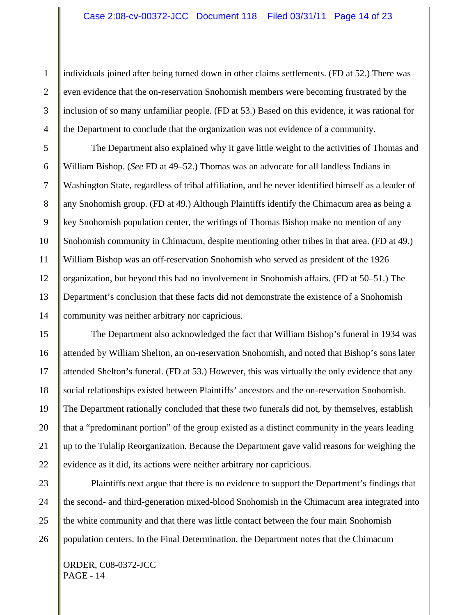individuals joined after being turned down in other claims settlements. (FD at 52.) There was even evidence that the on-reservation Snohomish members were becoming frustrated by the inclusion of so many unfamiliar people. (FD at 53.) Based on this evidence, it was rational for the Department to conclude that the organization was not evidence of a community.

The Department also explained why it gave little weight to the activities of Thomas and William Bishop. (*See* FD at 49–52.) Thomas was an advocate for all landless Indians in Washington State, regardless of tribal affiliation, and he never identified himself as a leader of any Snohomish group. (FD at 49.) Although Plaintiffs identify the Chimacum area as being a key Snohomish population center, the writings of Thomas Bishop make no mention of any Snohomish community in Chimacum, despite mentioning other tribes in that area. (FD at 49.) William Bishop was an off-reservation Snohomish who served as president of the 1926 organization, but beyond this had no involvement in Snohomish affairs. (FD at 50–51.) The Department's conclusion that these facts did not demonstrate the existence of a Snohomish community was neither arbitrary nor capricious.

20 21 22 The Department also acknowledged the fact that William Bishop's funeral in 1934 was attended by William Shelton, an on-reservation Snohomish, and noted that Bishop's sons later attended Shelton's funeral. (FD at 53.) However, this was virtually the only evidence that any social relationships existed between Plaintiffs' ancestors and the on-reservation Snohomish. The Department rationally concluded that these two funerals did not, by themselves, establish that a "predominant portion" of the group existed as a distinct community in the years leading up to the Tulalip Reorganization. Because the Department gave valid reasons for weighing the evidence as it did, its actions were neither arbitrary nor capricious.

23 24 25 26 Plaintiffs next argue that there is no evidence to support the Department's findings that the second- and third-generation mixed-blood Snohomish in the Chimacum area integrated into the white community and that there was little contact between the four main Snohomish population centers. In the Final Determination, the Department notes that the Chimacum

ORDER, C08-0372-JCC PAGE - 14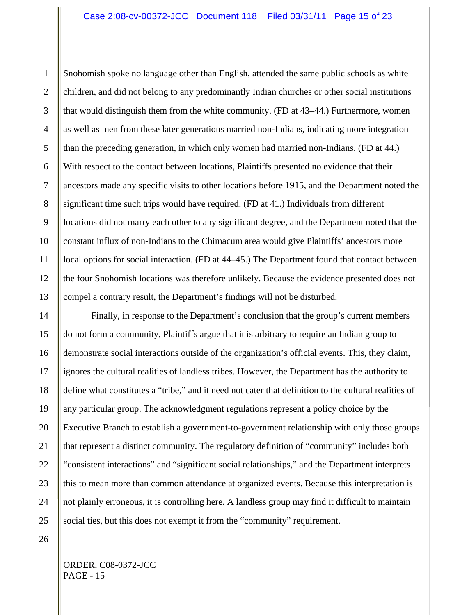1 2 3 4 5 6 7 8 9 10 11 12 13 Snohomish spoke no language other than English, attended the same public schools as white children, and did not belong to any predominantly Indian churches or other social institutions that would distinguish them from the white community. (FD at 43–44.) Furthermore, women as well as men from these later generations married non-Indians, indicating more integration than the preceding generation, in which only women had married non-Indians. (FD at 44.) With respect to the contact between locations, Plaintiffs presented no evidence that their ancestors made any specific visits to other locations before 1915, and the Department noted the significant time such trips would have required. (FD at 41.) Individuals from different locations did not marry each other to any significant degree, and the Department noted that the constant influx of non-Indians to the Chimacum area would give Plaintiffs' ancestors more local options for social interaction. (FD at 44–45.) The Department found that contact between the four Snohomish locations was therefore unlikely. Because the evidence presented does not compel a contrary result, the Department's findings will not be disturbed.

14 15 16 17 18 19 20 21 22 23 24 25 Finally, in response to the Department's conclusion that the group's current members do not form a community, Plaintiffs argue that it is arbitrary to require an Indian group to demonstrate social interactions outside of the organization's official events. This, they claim, ignores the cultural realities of landless tribes. However, the Department has the authority to define what constitutes a "tribe," and it need not cater that definition to the cultural realities of any particular group. The acknowledgment regulations represent a policy choice by the Executive Branch to establish a government-to-government relationship with only those groups that represent a distinct community. The regulatory definition of "community" includes both "consistent interactions" and "significant social relationships," and the Department interprets this to mean more than common attendance at organized events. Because this interpretation is not plainly erroneous, it is controlling here. A landless group may find it difficult to maintain social ties, but this does not exempt it from the "community" requirement.

26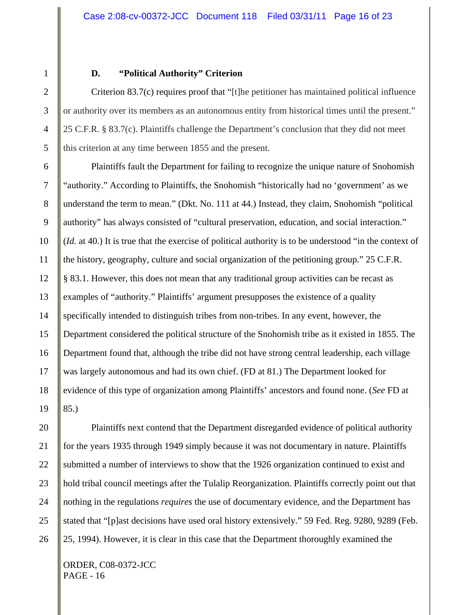#### **D. "Political Authority" Criterion**

Criterion 83.7(c) requires proof that "[t]he petitioner has maintained political influence or authority over its members as an autonomous entity from historical times until the present." 25 C.F.R. § 83.7(c). Plaintiffs challenge the Department's conclusion that they did not meet this criterion at any time between 1855 and the present.

Plaintiffs fault the Department for failing to recognize the unique nature of Snohomish "authority." According to Plaintiffs, the Snohomish "historically had no 'government' as we understand the term to mean." (Dkt. No. 111 at 44.) Instead, they claim, Snohomish "political authority" has always consisted of "cultural preservation, education, and social interaction." (*Id.* at 40.) It is true that the exercise of political authority is to be understood "in the context of the history, geography, culture and social organization of the petitioning group." 25 C.F.R. § 83.1. However, this does not mean that any traditional group activities can be recast as examples of "authority." Plaintiffs' argument presupposes the existence of a quality specifically intended to distinguish tribes from non-tribes. In any event, however, the Department considered the political structure of the Snohomish tribe as it existed in 1855. The Department found that, although the tribe did not have strong central leadership, each village was largely autonomous and had its own chief. (FD at 81.) The Department looked for evidence of this type of organization among Plaintiffs' ancestors and found none. (*See* FD at 85.)

Plaintiffs next contend that the Department disregarded evidence of political authority for the years 1935 through 1949 simply because it was not documentary in nature. Plaintiffs submitted a number of interviews to show that the 1926 organization continued to exist and hold tribal council meetings after the Tulalip Reorganization. Plaintiffs correctly point out that nothing in the regulations *requires* the use of documentary evidence, and the Department has stated that "[p]ast decisions have used oral history extensively." 59 Fed. Reg. 9280, 9289 (Feb. 25, 1994). However, it is clear in this case that the Department thoroughly examined the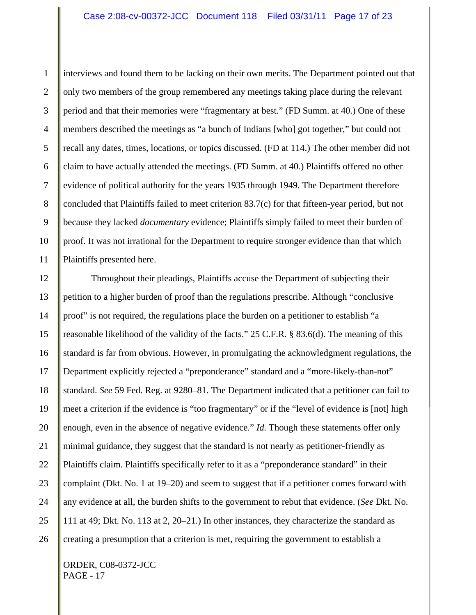1 2 3 4 5 6 7 8 9 10 11 interviews and found them to be lacking on their own merits. The Department pointed out that only two members of the group remembered any meetings taking place during the relevant period and that their memories were "fragmentary at best." (FD Summ. at 40.) One of these members described the meetings as "a bunch of Indians [who] got together," but could not recall any dates, times, locations, or topics discussed. (FD at 114.) The other member did not claim to have actually attended the meetings. (FD Summ. at 40.) Plaintiffs offered no other evidence of political authority for the years 1935 through 1949. The Department therefore concluded that Plaintiffs failed to meet criterion 83.7(c) for that fifteen-year period, but not because they lacked *documentary* evidence; Plaintiffs simply failed to meet their burden of proof. It was not irrational for the Department to require stronger evidence than that which Plaintiffs presented here.

12 13 14 15 16 17 18 19 20 21 22 23 24 25 26 Throughout their pleadings, Plaintiffs accuse the Department of subjecting their petition to a higher burden of proof than the regulations prescribe. Although "conclusive proof" is not required, the regulations place the burden on a petitioner to establish "a reasonable likelihood of the validity of the facts." 25 C.F.R. § 83.6(d). The meaning of this standard is far from obvious. However, in promulgating the acknowledgment regulations, the Department explicitly rejected a "preponderance" standard and a "more-likely-than-not" standard. *See* 59 Fed. Reg. at 9280–81. The Department indicated that a petitioner can fail to meet a criterion if the evidence is "too fragmentary" or if the "level of evidence is [not] high enough, even in the absence of negative evidence." *Id.* Though these statements offer only minimal guidance, they suggest that the standard is not nearly as petitioner-friendly as Plaintiffs claim. Plaintiffs specifically refer to it as a "preponderance standard" in their complaint (Dkt. No. 1 at 19–20) and seem to suggest that if a petitioner comes forward with any evidence at all, the burden shifts to the government to rebut that evidence. (*See* Dkt. No. 111 at 49; Dkt. No. 113 at 2, 20–21.) In other instances, they characterize the standard as creating a presumption that a criterion is met, requiring the government to establish a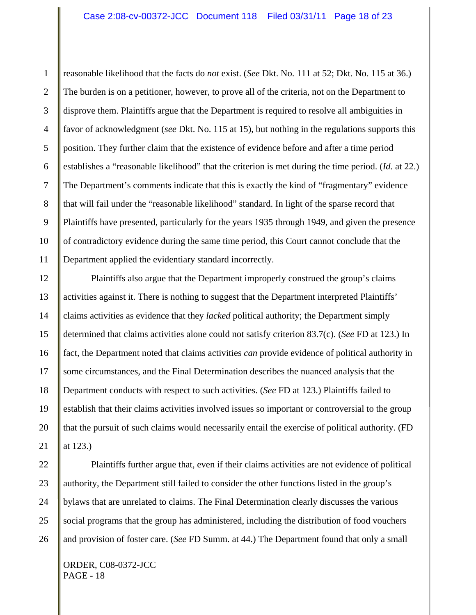1 2 3 4 5 6 7 8 9 10 11 reasonable likelihood that the facts do *not* exist. (*See* Dkt. No. 111 at 52; Dkt. No. 115 at 36.) The burden is on a petitioner, however, to prove all of the criteria, not on the Department to disprove them. Plaintiffs argue that the Department is required to resolve all ambiguities in favor of acknowledgment (*see* Dkt. No. 115 at 15), but nothing in the regulations supports this position. They further claim that the existence of evidence before and after a time period establishes a "reasonable likelihood" that the criterion is met during the time period. (*Id.* at 22.) The Department's comments indicate that this is exactly the kind of "fragmentary" evidence that will fail under the "reasonable likelihood" standard. In light of the sparse record that Plaintiffs have presented, particularly for the years 1935 through 1949, and given the presence of contradictory evidence during the same time period, this Court cannot conclude that the Department applied the evidentiary standard incorrectly.

12 13 14 15 16 17 18 19 20 21 Plaintiffs also argue that the Department improperly construed the group's claims activities against it. There is nothing to suggest that the Department interpreted Plaintiffs' claims activities as evidence that they *lacked* political authority; the Department simply determined that claims activities alone could not satisfy criterion 83.7(c). (*See* FD at 123.) In fact, the Department noted that claims activities *can* provide evidence of political authority in some circumstances, and the Final Determination describes the nuanced analysis that the Department conducts with respect to such activities. (*See* FD at 123.) Plaintiffs failed to establish that their claims activities involved issues so important or controversial to the group that the pursuit of such claims would necessarily entail the exercise of political authority. (FD at 123.)

22 23 24 25 26 Plaintiffs further argue that, even if their claims activities are not evidence of political authority, the Department still failed to consider the other functions listed in the group's bylaws that are unrelated to claims. The Final Determination clearly discusses the various social programs that the group has administered, including the distribution of food vouchers and provision of foster care. (*See* FD Summ. at 44.) The Department found that only a small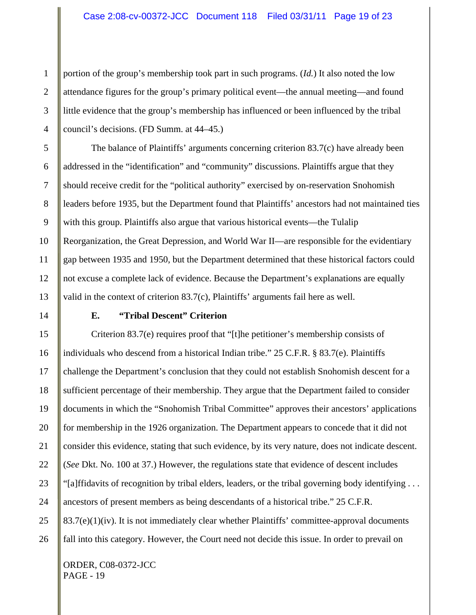3 4 portion of the group's membership took part in such programs. (*Id.*) It also noted the low attendance figures for the group's primary political event—the annual meeting—and found little evidence that the group's membership has influenced or been influenced by the tribal council's decisions. (FD Summ. at 44–45.)

5 6 7 8 9 10 11 12 13 The balance of Plaintiffs' arguments concerning criterion 83.7(c) have already been addressed in the "identification" and "community" discussions. Plaintiffs argue that they should receive credit for the "political authority" exercised by on-reservation Snohomish leaders before 1935, but the Department found that Plaintiffs' ancestors had not maintained ties with this group. Plaintiffs also argue that various historical events—the Tulalip Reorganization, the Great Depression, and World War II—are responsible for the evidentiary gap between 1935 and 1950, but the Department determined that these historical factors could not excuse a complete lack of evidence. Because the Department's explanations are equally valid in the context of criterion 83.7(c), Plaintiffs' arguments fail here as well.

14

1

2

#### **E. "Tribal Descent" Criterion**

15 16 17 18 19 20 21 22 23 24 25 26 Criterion 83.7(e) requires proof that "[t]he petitioner's membership consists of individuals who descend from a historical Indian tribe." 25 C.F.R. § 83.7(e). Plaintiffs challenge the Department's conclusion that they could not establish Snohomish descent for a sufficient percentage of their membership. They argue that the Department failed to consider documents in which the "Snohomish Tribal Committee" approves their ancestors' applications for membership in the 1926 organization. The Department appears to concede that it did not consider this evidence, stating that such evidence, by its very nature, does not indicate descent. (*See* Dkt. No. 100 at 37.) However, the regulations state that evidence of descent includes "[a]ffidavits of recognition by tribal elders, leaders, or the tribal governing body identifying . . . ancestors of present members as being descendants of a historical tribe." 25 C.F.R. 83.7(e)(1)(iv). It is not immediately clear whether Plaintiffs' committee-approval documents fall into this category. However, the Court need not decide this issue. In order to prevail on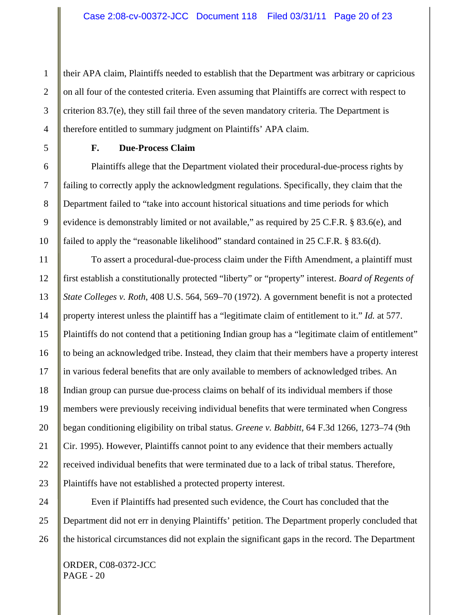their APA claim, Plaintiffs needed to establish that the Department was arbitrary or capricious on all four of the contested criteria. Even assuming that Plaintiffs are correct with respect to criterion 83.7(e), they still fail three of the seven mandatory criteria. The Department is therefore entitled to summary judgment on Plaintiffs' APA claim.

1

#### **F. Due-Process Claim**

Plaintiffs allege that the Department violated their procedural-due-process rights by failing to correctly apply the acknowledgment regulations. Specifically, they claim that the Department failed to "take into account historical situations and time periods for which evidence is demonstrably limited or not available," as required by 25 C.F.R. § 83.6(e), and failed to apply the "reasonable likelihood" standard contained in 25 C.F.R. § 83.6(d).

To assert a procedural-due-process claim under the Fifth Amendment, a plaintiff must first establish a constitutionally protected "liberty" or "property" interest. *Board of Regents of State Colleges v. Roth*, 408 U.S. 564, 569–70 (1972). A government benefit is not a protected property interest unless the plaintiff has a "legitimate claim of entitlement to it." *Id.* at 577. Plaintiffs do not contend that a petitioning Indian group has a "legitimate claim of entitlement" to being an acknowledged tribe. Instead, they claim that their members have a property interest in various federal benefits that are only available to members of acknowledged tribes. An Indian group can pursue due-process claims on behalf of its individual members if those members were previously receiving individual benefits that were terminated when Congress began conditioning eligibility on tribal status. *Greene v. Babbitt*, 64 F.3d 1266, 1273–74 (9th Cir. 1995). However, Plaintiffs cannot point to any evidence that their members actually received individual benefits that were terminated due to a lack of tribal status. Therefore, Plaintiffs have not established a protected property interest.

26 Even if Plaintiffs had presented such evidence, the Court has concluded that the Department did not err in denying Plaintiffs' petition. The Department properly concluded that the historical circumstances did not explain the significant gaps in the record. The Department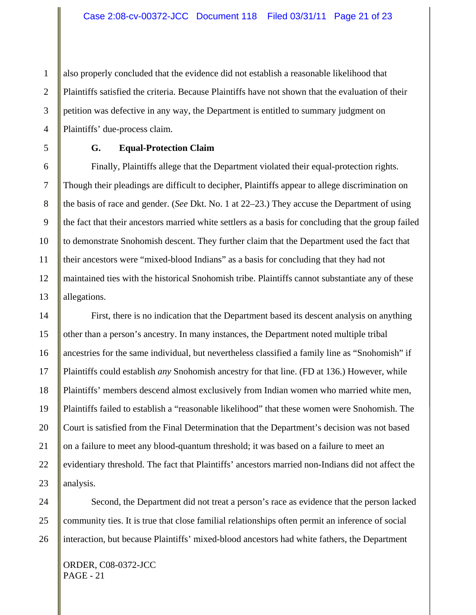also properly concluded that the evidence did not establish a reasonable likelihood that Plaintiffs satisfied the criteria. Because Plaintiffs have not shown that the evaluation of their petition was defective in any way, the Department is entitled to summary judgment on Plaintiffs' due-process claim.

## **G. Equal-Protection Claim**

Finally, Plaintiffs allege that the Department violated their equal-protection rights. Though their pleadings are difficult to decipher, Plaintiffs appear to allege discrimination on the basis of race and gender. (*See* Dkt. No. 1 at 22–23.) They accuse the Department of using the fact that their ancestors married white settlers as a basis for concluding that the group failed to demonstrate Snohomish descent. They further claim that the Department used the fact that their ancestors were "mixed-blood Indians" as a basis for concluding that they had not maintained ties with the historical Snohomish tribe. Plaintiffs cannot substantiate any of these allegations.

First, there is no indication that the Department based its descent analysis on anything other than a person's ancestry. In many instances, the Department noted multiple tribal ancestries for the same individual, but nevertheless classified a family line as "Snohomish" if Plaintiffs could establish *any* Snohomish ancestry for that line. (FD at 136.) However, while Plaintiffs' members descend almost exclusively from Indian women who married white men, Plaintiffs failed to establish a "reasonable likelihood" that these women were Snohomish. The Court is satisfied from the Final Determination that the Department's decision was not based on a failure to meet any blood-quantum threshold; it was based on a failure to meet an evidentiary threshold. The fact that Plaintiffs' ancestors married non-Indians did not affect the analysis.

Second, the Department did not treat a person's race as evidence that the person lacked community ties. It is true that close familial relationships often permit an inference of social interaction, but because Plaintiffs' mixed-blood ancestors had white fathers, the Department

ORDER, C08-0372-JCC PAGE - 21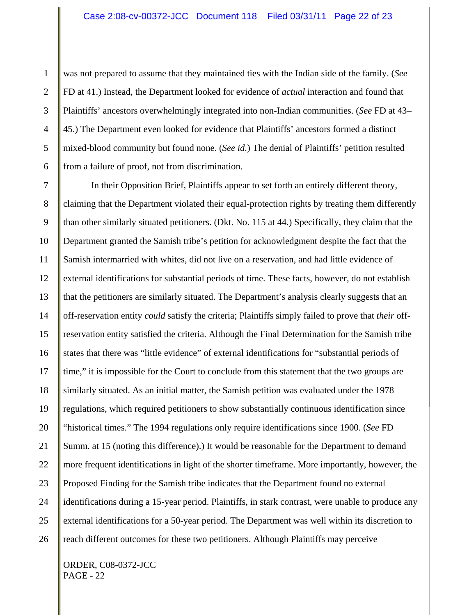was not prepared to assume that they maintained ties with the Indian side of the family. (*See* FD at 41.) Instead, the Department looked for evidence of *actual* interaction and found that Plaintiffs' ancestors overwhelmingly integrated into non-Indian communities. (*See* FD at 43– 45.) The Department even looked for evidence that Plaintiffs' ancestors formed a distinct mixed-blood community but found none. (*See id.*) The denial of Plaintiffs' petition resulted from a failure of proof, not from discrimination.

7 8 9 10 11 12 13 14 15 16 17 18 19 20 21 22 23 24 25 26 In their Opposition Brief, Plaintiffs appear to set forth an entirely different theory, claiming that the Department violated their equal-protection rights by treating them differently than other similarly situated petitioners. (Dkt. No. 115 at 44.) Specifically, they claim that the Department granted the Samish tribe's petition for acknowledgment despite the fact that the Samish intermarried with whites, did not live on a reservation, and had little evidence of external identifications for substantial periods of time. These facts, however, do not establish that the petitioners are similarly situated. The Department's analysis clearly suggests that an off-reservation entity *could* satisfy the criteria; Plaintiffs simply failed to prove that *their* offreservation entity satisfied the criteria. Although the Final Determination for the Samish tribe states that there was "little evidence" of external identifications for "substantial periods of time," it is impossible for the Court to conclude from this statement that the two groups are similarly situated. As an initial matter, the Samish petition was evaluated under the 1978 regulations, which required petitioners to show substantially continuous identification since "historical times." The 1994 regulations only require identifications since 1900. (*See* FD Summ. at 15 (noting this difference).) It would be reasonable for the Department to demand more frequent identifications in light of the shorter timeframe. More importantly, however, the Proposed Finding for the Samish tribe indicates that the Department found no external identifications during a 15-year period. Plaintiffs, in stark contrast, were unable to produce any external identifications for a 50-year period. The Department was well within its discretion to reach different outcomes for these two petitioners. Although Plaintiffs may perceive

ORDER, C08-0372-JCC PAGE - 22